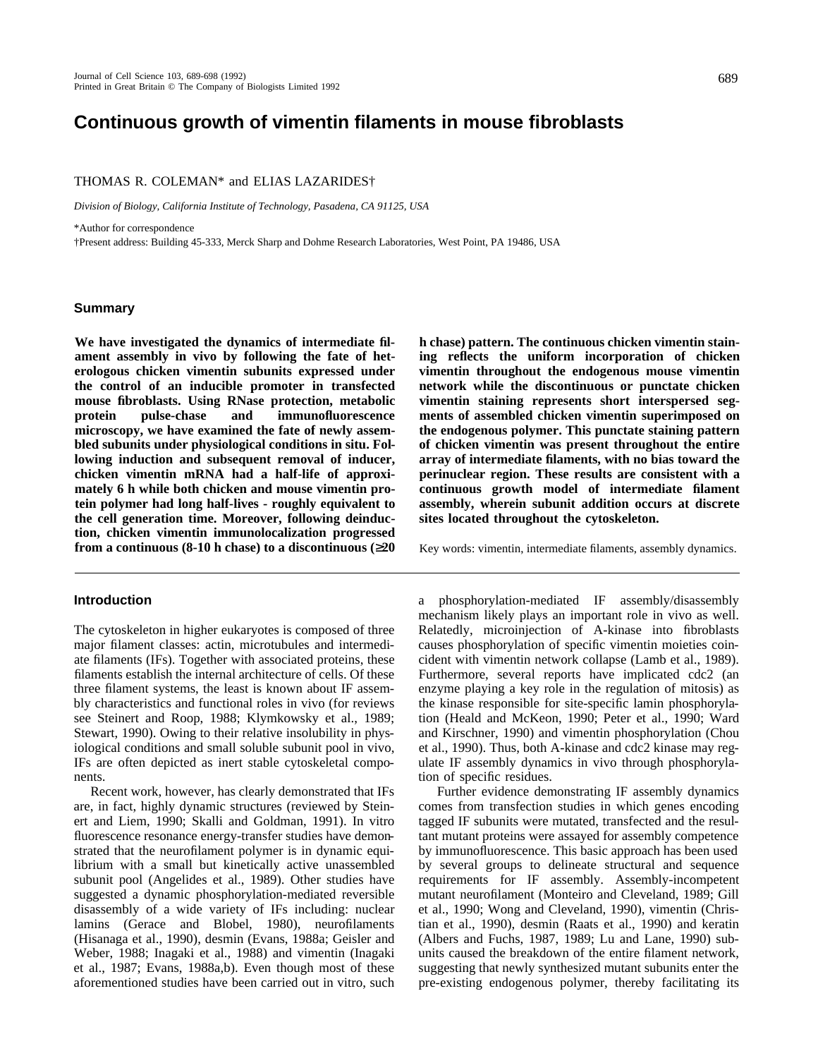# **Continuous growth of vimentin filaments in mouse fibroblasts**

# THOMAS R. COLEMAN\* and ELIAS LAZARIDES†

*Division of Biology, California Institute of Technology, Pasadena, CA 91125, USA*

\*Author for correspondence

†Present address: Building 45-333, Merck Sharp and Dohme Research Laboratories, West Point, PA 19486, USA

## **Summary**

**We have investigated the dynamics of intermediate filament assembly in vivo by following the fate of heterologous chicken vimentin subunits expressed under the control of an inducible promoter in transfected mouse fibroblasts. Using RNase protection, metabolic protein pulse-chase and immunofluorescence microscopy, we have examined the fate of newly assembled subunits under physiological conditions in situ. Following induction and subsequent removal of inducer, chicken vimentin mRNA had a half-life of approximately 6 h while both chicken and mouse vimentin protein polymer had long half-lives - roughly equivalent to the cell generation time. Moreover, following deinduction, chicken vimentin immunolocalization progressed from a continuous (8-10 h chase) to a discontinuous ( 20**

## **Introduction**

The cytoskeleton in higher eukaryotes is composed of three major filament classes: actin, microtubules and intermediate filaments (IFs). Together with associated proteins, these filaments establish the internal architecture of cells. Of these three filament systems, the least is known about IF assembly characteristics and functional roles in vivo (for reviews see Steinert and Roop, 1988; Klymkowsky et al., 1989; Stewart, 1990). Owing to their relative insolubility in physiological conditions and small soluble subunit pool in vivo, IFs are often depicted as inert stable cytoskeletal components.

Recent work, however, has clearly demonstrated that IFs are, in fact, highly dynamic structures (reviewed by Steinert and Liem, 1990; Skalli and Goldman, 1991). In vitro fluorescence resonance energy-transfer studies have demonstrated that the neurofilament polymer is in dynamic equilibrium with a small but kinetically active unassembled subunit pool (Angelides et al., 1989). Other studies have suggested a dynamic phosphorylation-mediated reversible disassembly of a wide variety of IFs including: nuclear lamins (Gerace and Blobel, 1980), neurofilaments (Hisanaga et al., 1990), desmin (Evans, 1988a; Geisler and Weber, 1988; Inagaki et al., 1988) and vimentin (Inagaki et al., 1987; Evans, 1988a,b). Even though most of these aforementioned studies have been carried out in vitro, such

**h chase) pattern. The continuous chicken vimentin staining reflects the uniform incorporation of chicken vimentin throughout the endogenous mouse vimentin network while the discontinuous or punctate chicken vimentin staining represents short interspersed segments of assembled chicken vimentin superimposed on the endogenous polymer. This punctate staining pattern of chicken vimentin was present throughout the entire array of intermediate filaments, with no bias toward the perinuclear region. These results are consistent with a continuous growth model of intermediate filament assembly, wherein subunit addition occurs at discrete sites located throughout the cytoskeleton.**

Key words: vimentin, intermediate filaments, assembly dynamics.

a phosphorylation-mediated IF assembly/disassembly mechanism likely plays an important role in vivo as well. Relatedly, microinjection of A-kinase into fibroblasts causes phosphorylation of specific vimentin moieties coincident with vimentin network collapse (Lamb et al., 1989). Furthermore, several reports have implicated cdc2 (an enzyme playing a key role in the regulation of mitosis) as the kinase responsible for site-specific lamin phosphorylation (Heald and McKeon, 1990; Peter et al., 1990; Ward and Kirschner, 1990) and vimentin phosphorylation (Chou et al., 1990). Thus, both A-kinase and cdc2 kinase may regulate IF assembly dynamics in vivo through phosphorylation of specific residues.

Further evidence demonstrating IF assembly dynamics comes from transfection studies in which genes encoding tagged IF subunits were mutated, transfected and the resultant mutant proteins were assayed for assembly competence by immunofluorescence. This basic approach has been used by several groups to delineate structural and sequence requirements for IF assembly. Assembly-incompetent mutant neurofilament (Monteiro and Cleveland, 1989; Gill et al., 1990; Wong and Cleveland, 1990), vimentin (Christian et al., 1990), desmin (Raats et al., 1990) and keratin (Albers and Fuchs, 1987, 1989; Lu and Lane, 1990) subunits caused the breakdown of the entire filament network, suggesting that newly synthesized mutant subunits enter the pre-existing endogenous polymer, thereby facilitating its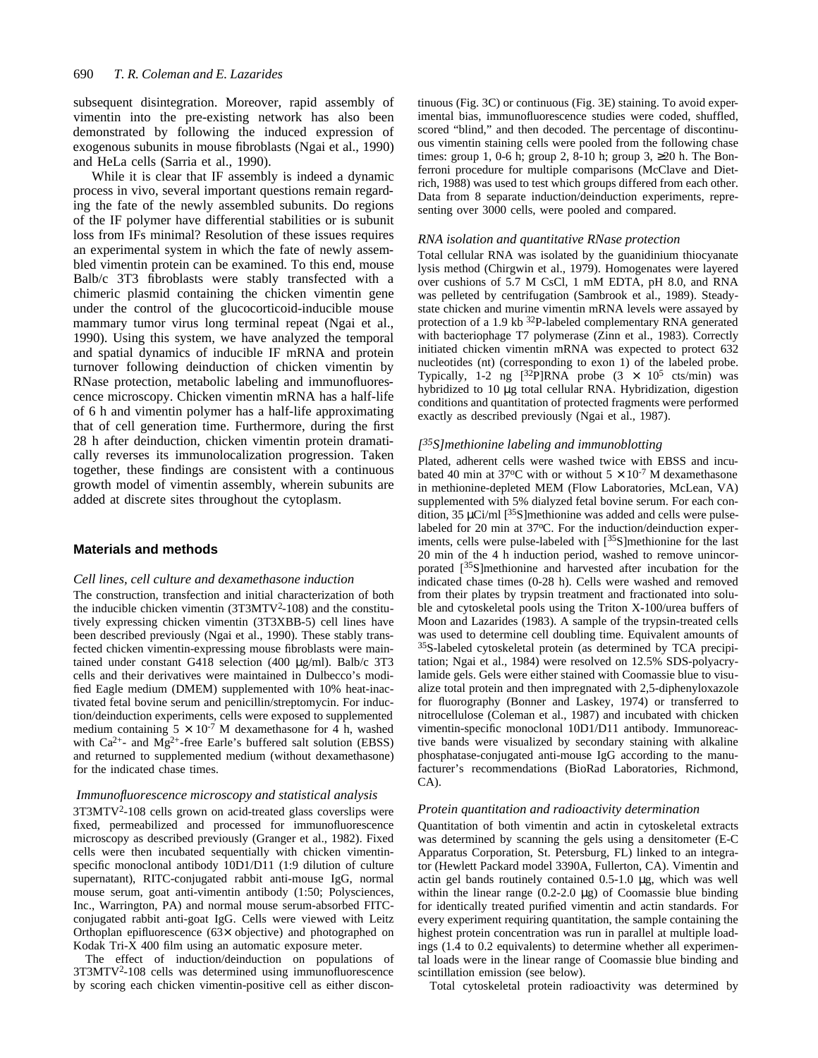subsequent disintegration. Moreover, rapid assembly of vimentin into the pre-existing network has also been demonstrated by following the induced expression of exogenous subunits in mouse fibroblasts (Ngai et al., 1990) and HeLa cells (Sarria et al., 1990).

While it is clear that IF assembly is indeed a dynamic process in vivo, several important questions remain regarding the fate of the newly assembled subunits. Do regions of the IF polymer have differential stabilities or is subunit loss from IFs minimal? Resolution of these issues requires an experimental system in which the fate of newly assembled vimentin protein can be examined. To this end, mouse Balb/c 3T3 fibroblasts were stably transfected with a chimeric plasmid containing the chicken vimentin gene under the control of the glucocorticoid-inducible mouse mammary tumor virus long terminal repeat (Ngai et al., 1990). Using this system, we have analyzed the temporal and spatial dynamics of inducible IF mRNA and protein turnover following deinduction of chicken vimentin by RNase protection, metabolic labeling and immunofluorescence microscopy. Chicken vimentin mRNA has a half-life of 6 h and vimentin polymer has a half-life approximating that of cell generation time. Furthermore, during the first 28 h after deinduction, chicken vimentin protein dramatically reverses its immunolocalization progression. Taken together, these findings are consistent with a continuous growth model of vimentin assembly, wherein subunits are added at discrete sites throughout the cytoplasm.

# **Materials and methods**

### *Cell lines, cell culture and dexamethasone induction*

The construction, transfection and initial characterization of both the inducible chicken vimentin (3T3MTV<sup>2</sup>-108) and the constitutively expressing chicken vimentin (3T3XBB-5) cell lines have been described previously (Ngai et al., 1990). These stably transfected chicken vimentin-expressing mouse fibroblasts were maintained under constant G418 selection (400 μg/ml). Balb/c 3T3 cells and their derivatives were maintained in Dulbecco's modified Eagle medium (DMEM) supplemented with 10% heat-inactivated fetal bovine serum and penicillin/streptomycin. For induction/deinduction experiments, cells were exposed to supplemented medium containing  $5 \times 10^{-7}$  M dexamethasone for 4 h, washed with  $Ca^{2+}$ - and  $Mg^{2+}$ -free Earle's buffered salt solution (EBSS) and returned to supplemented medium (without dexamethasone) for the indicated chase times.

## *Immunofluorescence microscopy and statistical analysis*

3T3MTV<sup>2</sup>-108 cells grown on acid-treated glass coverslips were fixed, permeabilized and processed for immunofluorescence microscopy as described previously (Granger et al., 1982). Fixed cells were then incubated sequentially with chicken vimentinspecific monoclonal antibody 10D1/D11 (1:9 dilution of culture supernatant), RITC-conjugated rabbit anti-mouse IgG, normal mouse serum, goat anti-vimentin antibody (1:50; Polysciences, Inc., Warrington, PA) and normal mouse serum-absorbed FITCconjugated rabbit anti-goat IgG. Cells were viewed with Leitz Orthoplan epifluorescence (63× objective) and photographed on Kodak Tri-X 400 film using an automatic exposure meter.

The effect of induction/deinduction on populations of 3T3MTV<sup>2</sup>-108 cells was determined using immunofluorescence by scoring each chicken vimentin-positive cell as either discontinuous (Fig. 3C) or continuous (Fig. 3E) staining. To avoid experimental bias, immunofluorescence studies were coded, shuffled, scored "blind," and then decoded. The percentage of discontinuous vimentin staining cells were pooled from the following chase times: group 1, 0-6 h; group 2, 8-10 h; group 3, 20 h. The Bonferroni procedure for multiple comparisons (McClave and Dietrich, 1988) was used to test which groups differed from each other. Data from 8 separate induction/deinduction experiments, representing over 3000 cells, were pooled and compared.

#### *RNA isolation and quantitative RNase protection*

Total cellular RNA was isolated by the guanidinium thiocyanate lysis method (Chirgwin et al., 1979). Homogenates were layered over cushions of 5.7 M CsCl, 1 mM EDTA, pH 8.0, and RNA was pelleted by centrifugation (Sambrook et al., 1989). Steadystate chicken and murine vimentin mRNA levels were assayed by protection of a 1.9 kb 32P-labeled complementary RNA generated with bacteriophage T7 polymerase (Zinn et al., 1983). Correctly initiated chicken vimentin mRNA was expected to protect 632 nucleotides (nt) (corresponding to exon 1) of the labeled probe. Typically, 1-2 ng  $[^{32}P]$ RNA probe  $(3 \times 10^5 \text{ cts/min})$  was hybridized to 10 μg total cellular RNA. Hybridization, digestion conditions and quantitation of protected fragments were performed exactly as described previously (Ngai et al., 1987).

# *[ <sup>35</sup>S]methionine labeling and immunoblotting*

Plated, adherent cells were washed twice with EBSS and incubated 40 min at 37°C with or without  $5 \times 10^{-7}$  M dexamethasone in methionine-depleted MEM (Flow Laboratories, McLean, VA) supplemented with 5% dialyzed fetal bovine serum. For each condition, 35  $\mu$ Ci/ml [<sup>35</sup>S]methionine was added and cells were pulselabeled for 20 min at 37°C. For the induction/deinduction experiments, cells were pulse-labeled with [<sup>35</sup>S]methionine for the last 20 min of the 4 h induction period, washed to remove unincorporated [35S]methionine and harvested after incubation for the indicated chase times (0-28 h). Cells were washed and removed from their plates by trypsin treatment and fractionated into soluble and cytoskeletal pools using the Triton X-100/urea buffers of Moon and Lazarides (1983). A sample of the trypsin-treated cells was used to determine cell doubling time. Equivalent amounts of <sup>35</sup>S-labeled cytoskeletal protein (as determined by TCA precipitation; Ngai et al., 1984) were resolved on 12.5% SDS-polyacrylamide gels. Gels were either stained with Coomassie blue to visualize total protein and then impregnated with 2,5-diphenyloxazole for fluorography (Bonner and Laskey, 1974) or transferred to nitrocellulose (Coleman et al., 1987) and incubated with chicken vimentin-specific monoclonal 10D1/D11 antibody. Immunoreactive bands were visualized by secondary staining with alkaline phosphatase-conjugated anti-mouse IgG according to the manufacturer's recommendations (BioRad Laboratories, Richmond, CA).

#### *Protein quantitation and radioactivity determination*

Quantitation of both vimentin and actin in cytoskeletal extracts was determined by scanning the gels using a densitometer (E-C Apparatus Corporation, St. Petersburg, FL) linked to an integrator (Hewlett Packard model 3390A, Fullerton, CA). Vimentin and actin gel bands routinely contained 0.5-1.0 μg, which was well within the linear range  $(0.2\n-2.0 \, \mu g)$  of Coomassie blue binding for identically treated purified vimentin and actin standards. For every experiment requiring quantitation, the sample containing the highest protein concentration was run in parallel at multiple loadings (1.4 to 0.2 equivalents) to determine whether all experimental loads were in the linear range of Coomassie blue binding and scintillation emission (see below).

Total cytoskeletal protein radioactivity was determined by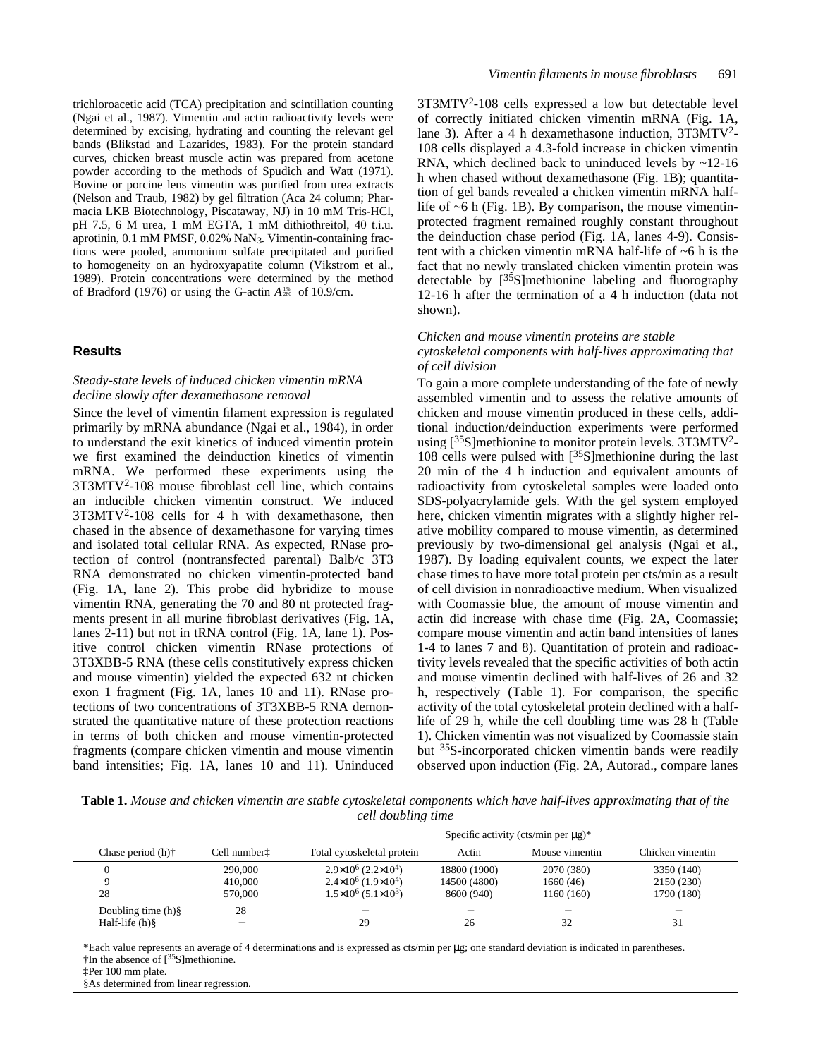trichloroacetic acid (TCA) precipitation and scintillation counting (Ngai et al., 1987). Vimentin and actin radioactivity levels were determined by excising, hydrating and counting the relevant gel bands (Blikstad and Lazarides, 1983). For the protein standard curves, chicken breast muscle actin was prepared from acetone powder according to the methods of Spudich and Watt (1971). Bovine or porcine lens vimentin was purified from urea extracts (Nelson and Traub, 1982) by gel filtration (Aca 24 column; Pharmacia LKB Biotechnology, Piscataway, NJ) in 10 mM Tris-HCl, pH 7.5, 6 M urea, 1 mM EGTA, 1 mM dithiothreitol, 40 t.i.u. aprotinin, 0.1 mM PMSF, 0.02% NaN3. Vimentin-containing fractions were pooled, ammonium sulfate precipitated and purified to homogeneity on an hydroxyapatite column (Vikstrom et al., 1989). Protein concentrations were determined by the method of Bradford (1976) or using the G-actin  $A_{280}^{1%}$  of 10.9/cm.

#### **Results**

# *Steady-state levels of induced chicken vimentin mRNA decline slowly after dexamethasone removal*

Since the level of vimentin filament expression is regulated primarily by mRNA abundance (Ngai et al., 1984), in order to understand the exit kinetics of induced vimentin protein we first examined the deinduction kinetics of vimentin mRNA. We performed these experiments using the 3T3MTV<sup>2</sup> -108 mouse fibroblast cell line, which contains an inducible chicken vimentin construct. We induced 3T3MTV<sup>2</sup>-108 cells for 4 h with dexamethasone, then chased in the absence of dexamethasone for varying times and isolated total cellular RNA. As expected, RNase protection of control (nontransfected parental) Balb/c 3T3 RNA demonstrated no chicken vimentin-protected band (Fig. 1A, lane 2). This probe did hybridize to mouse vimentin RNA, generating the 70 and 80 nt protected fragments present in all murine fibroblast derivatives (Fig. 1A, lanes 2-11) but not in tRNA control (Fig. 1A, lane 1). Positive control chicken vimentin RNase protections of 3T3XBB-5 RNA (these cells constitutively express chicken and mouse vimentin) yielded the expected 632 nt chicken exon 1 fragment (Fig. 1A, lanes 10 and 11). RNase protections of two concentrations of 3T3XBB-5 RNA demonstrated the quantitative nature of these protection reactions in terms of both chicken and mouse vimentin-protected fragments (compare chicken vimentin and mouse vimentin band intensities; Fig. 1A, lanes 10 and 11). Uninduced

3T3MTV<sup>2</sup> -108 cells expressed a low but detectable level of correctly initiated chicken vimentin mRNA (Fig. 1A, lane 3). After a 4 h dexamethasone induction, 3T3MTV<sup>2</sup>-108 cells displayed a 4.3-fold increase in chicken vimentin RNA, which declined back to uninduced levels by  $\sim$ 12-16 h when chased without dexamethasone (Fig. 1B); quantitation of gel bands revealed a chicken vimentin mRNA halflife of  $~6$  h (Fig. 1B). By comparison, the mouse vimentinprotected fragment remained roughly constant throughout the deinduction chase period (Fig. 1A, lanes 4-9). Consistent with a chicken vimentin mRNA half-life of ~6 h is the fact that no newly translated chicken vimentin protein was detectable by  $[35S]$ methionine labeling and fluorography 12-16 h after the termination of a 4 h induction (data not shown).

# *Chicken and mouse vimentin proteins are stable cytoskeletal components with half-lives approximating that of cell division*

To gain a more complete understanding of the fate of newly assembled vimentin and to assess the relative amounts of chicken and mouse vimentin produced in these cells, additional induction/deinduction experiments were performed using [<sup>35</sup>S]methionine to monitor protein levels. 3T3MTV<sup>2</sup>-108 cells were pulsed with  $[35S]$ methionine during the last 20 min of the 4 h induction and equivalent amounts of radioactivity from cytoskeletal samples were loaded onto SDS-polyacrylamide gels. With the gel system employed here, chicken vimentin migrates with a slightly higher relative mobility compared to mouse vimentin, as determined previously by two-dimensional gel analysis (Ngai et al., 1987). By loading equivalent counts, we expect the later chase times to have more total protein per cts/min as a result of cell division in nonradioactive medium. When visualized with Coomassie blue, the amount of mouse vimentin and actin did increase with chase time (Fig. 2A, Coomassie; compare mouse vimentin and actin band intensities of lanes 1-4 to lanes 7 and 8). Quantitation of protein and radioactivity levels revealed that the specific activities of both actin and mouse vimentin declined with half-lives of 26 and 32 h, respectively (Table 1). For comparison, the specific activity of the total cytoskeletal protein declined with a halflife of 29 h, while the cell doubling time was 28 h (Table 1). Chicken vimentin was not visualized by Coomassie stain but 35S-incorporated chicken vimentin bands were readily observed upon induction (Fig. 2A, Autorad., compare lanes

**Table 1.** *Mouse and chicken vimentin are stable cytoskeletal components which have half-lives approximating that of the cell doubling time*

|                                                    |                          | Specific activity (cts/min per $\mu$ g)* |              |                |                  |
|----------------------------------------------------|--------------------------|------------------------------------------|--------------|----------------|------------------|
| Chase period $(h)$ <sup><math>\dagger</math></sup> | Cell number <sup>†</sup> | Total cytoskeletal protein               | Actin        | Mouse vimentin | Chicken vimentin |
|                                                    | 290,000                  | $2.9\times10^{6}$ (2.2 $\times10^{4}$ )  | 18800 (1900) | 2070 (380)     | 3350 (140)       |
|                                                    | 410,000                  | $2.4\times10^{6}$ (1.9 $\times10^{4}$ )  | 14500 (4800) | 1660(46)       | 2150 (230)       |
| 28                                                 | 570,000                  | $1.5\times10^{6}$ (5.1×10 <sup>3</sup> ) | 8600 (940)   | 1160 (160)     | 1790 (180)       |
| Doubling time $(h)\$                               | 28                       | -                                        | -            | -              |                  |
| Half-life $(h)$ §                                  |                          | 29                                       | 26           | 32             | 31               |

\*Each value represents an average of 4 determinations and is expressed as cts/min per μg; one standard deviation is indicated in parentheses.  $\dagger$ In the absence of  $\lceil 35S \rceil$ methionine.

‡Per 100 mm plate.

§As determined from linear regression.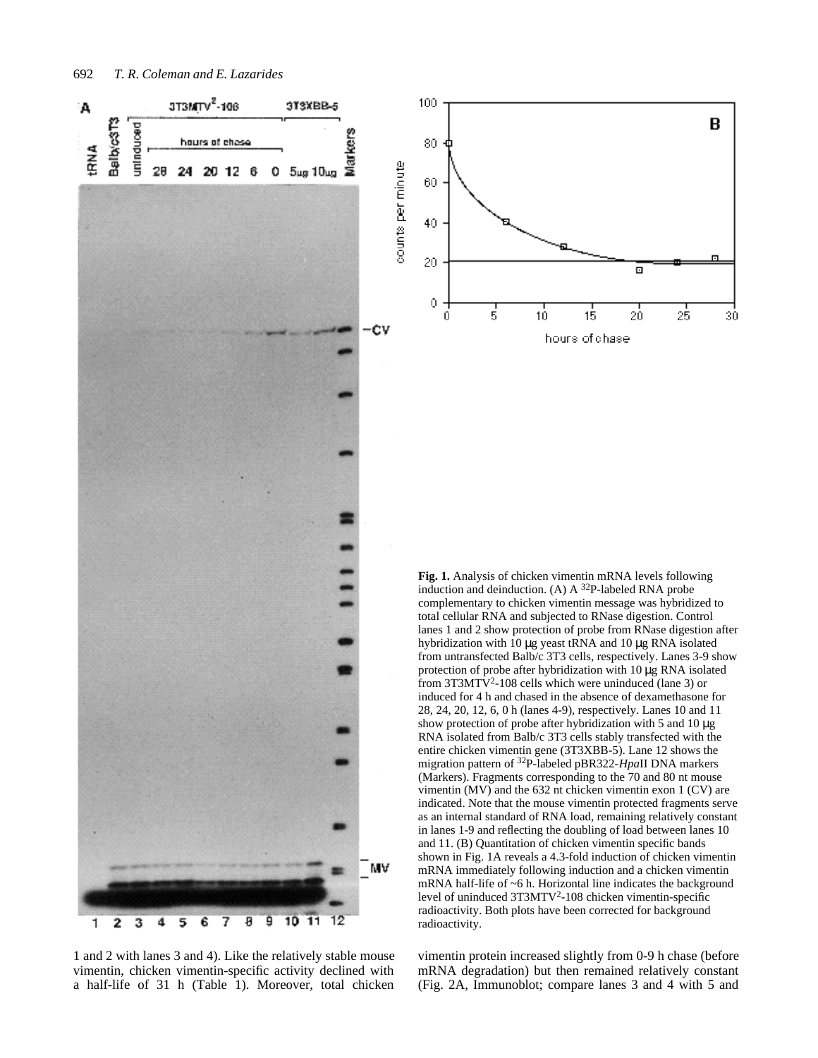

1 and 2 with lanes 3 and 4). Like the relatively stable mouse vimentin, chicken vimentin-specific activity declined with a half-life of 31 h (Table 1). Moreover, total chicken

vimentin protein increased slightly from 0-9 h chase (before mRNA degradation) but then remained relatively constant (Fig. 2A, Immunoblot; compare lanes 3 and 4 with 5 and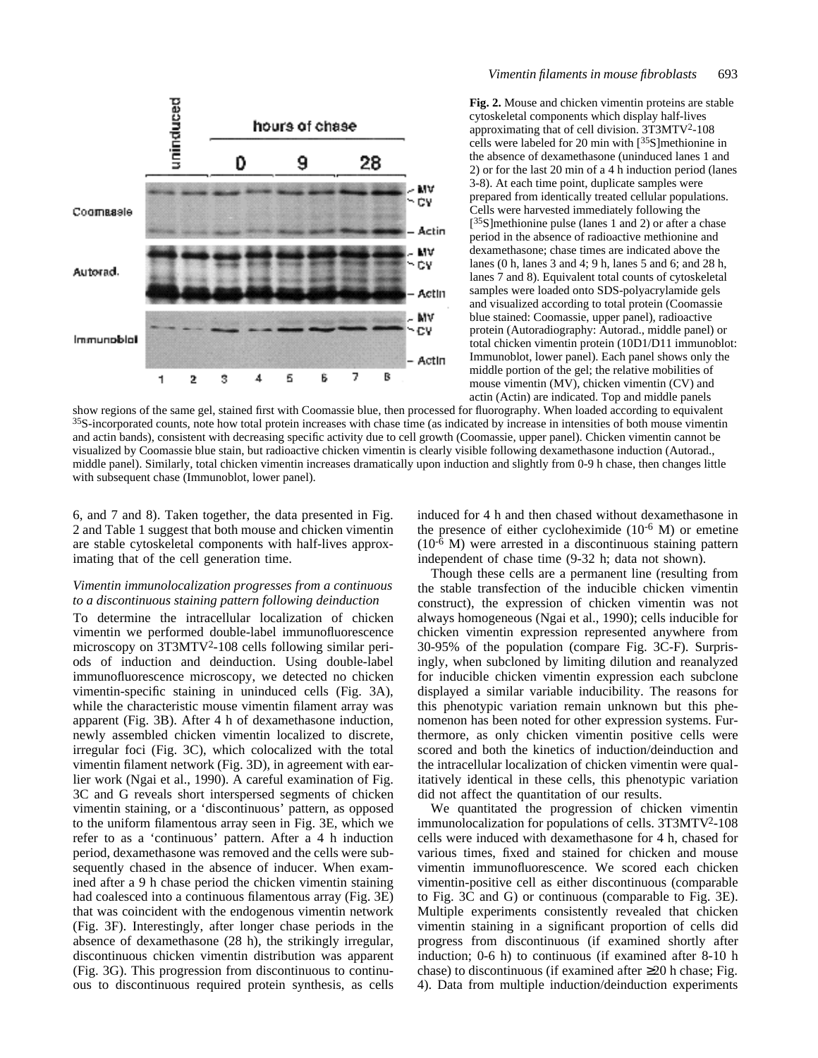

# *Vimentin filaments in mouse fibroblasts* 693

**Fig. 2.** Mouse and chicken vimentin proteins are stable cytoskeletal components which display half-lives approximating that of cell division. 3T3MTV<sup>2</sup>-108 cells were labeled for 20 min with  $[35S]$ methionine in the absence of dexamethasone (uninduced lanes 1 and 2) or for the last 20 min of a 4 h induction period (lanes 3-8). At each time point, duplicate samples were prepared from identically treated cellular populations. Cells were harvested immediately following the [<sup>35</sup>S]methionine pulse (lanes 1 and 2) or after a chase period in the absence of radioactive methionine and dexamethasone; chase times are indicated above the lanes (0 h, lanes 3 and 4; 9 h, lanes 5 and 6; and 28 h, lanes 7 and 8). Equivalent total counts of cytoskeletal samples were loaded onto SDS-polyacrylamide gels and visualized according to total protein (Coomassie blue stained: Coomassie, upper panel), radioactive protein (Autoradiography: Autorad., middle panel) or total chicken vimentin protein (10D1/D11 immunoblot: Immunoblot, lower panel). Each panel shows only the middle portion of the gel; the relative mobilities of mouse vimentin (MV), chicken vimentin (CV) and actin (Actin) are indicated. Top and middle panels

show regions of the same gel, stained first with Coomassie blue, then processed for fluorography. When loaded according to equivalent  $35S$ -incorporated counts, note how total protein increases with chase time (as indicated by increase in intensities of both mouse vimentin and actin bands), consistent with decreasing specific activity due to cell growth (Coomassie, upper panel). Chicken vimentin cannot be visualized by Coomassie blue stain, but radioactive chicken vimentin is clearly visible following dexamethasone induction (Autorad., middle panel). Similarly, total chicken vimentin increases dramatically upon induction and slightly from 0-9 h chase, then changes little with subsequent chase (Immunoblot, lower panel).

6, and 7 and 8). Taken together, the data presented in Fig. 2 and Table 1 suggest that both mouse and chicken vimentin are stable cytoskeletal components with half-lives approximating that of the cell generation time.

# *Vimentin immunolocalization progresses from a continuous to a discontinuous staining pattern following deinduction*

To determine the intracellular localization of chicken vimentin we performed double-label immunofluorescence microscopy on 3T3MTV<sup>2</sup>-108 cells following similar periods of induction and deinduction. Using double-label immunofluorescence microscopy, we detected no chicken vimentin-specific staining in uninduced cells (Fig. 3A), while the characteristic mouse vimentin filament array was apparent (Fig. 3B). After 4 h of dexamethasone induction, newly assembled chicken vimentin localized to discrete, irregular foci (Fig. 3C), which colocalized with the total vimentin filament network (Fig. 3D), in agreement with earlier work (Ngai et al., 1990). A careful examination of Fig. 3C and G reveals short interspersed segments of chicken vimentin staining, or a 'discontinuous' pattern, as opposed to the uniform filamentous array seen in Fig. 3E, which we refer to as a 'continuous' pattern. After a 4 h induction period, dexamethasone was removed and the cells were subsequently chased in the absence of inducer. When examined after a 9 h chase period the chicken vimentin staining had coalesced into a continuous filamentous array (Fig. 3E) that was coincident with the endogenous vimentin network (Fig. 3F). Interestingly, after longer chase periods in the absence of dexamethasone (28 h), the strikingly irregular, discontinuous chicken vimentin distribution was apparent (Fig. 3G). This progression from discontinuous to continuous to discontinuous required protein synthesis, as cells induced for 4 h and then chased without dexamethasone in the presence of either cycloheximide  $(10^{-6}$  M) or emetine  $(10^{-6}$  M) were arrested in a discontinuous staining pattern independent of chase time (9-32 h; data not shown).

Though these cells are a permanent line (resulting from the stable transfection of the inducible chicken vimentin construct), the expression of chicken vimentin was not always homogeneous (Ngai et al., 1990); cells inducible for chicken vimentin expression represented anywhere from 30-95% of the population (compare Fig. 3C-F). Surprisingly, when subcloned by limiting dilution and reanalyzed for inducible chicken vimentin expression each subclone displayed a similar variable inducibility. The reasons for this phenotypic variation remain unknown but this phenomenon has been noted for other expression systems. Furthermore, as only chicken vimentin positive cells were scored and both the kinetics of induction/deinduction and the intracellular localization of chicken vimentin were qualitatively identical in these cells, this phenotypic variation did not affect the quantitation of our results.

We quantitated the progression of chicken vimentin immunolocalization for populations of cells. 3T3MTV<sup>2</sup>-108 cells were induced with dexamethasone for 4 h, chased for various times, fixed and stained for chicken and mouse vimentin immunofluorescence. We scored each chicken vimentin-positive cell as either discontinuous (comparable to Fig. 3C and G) or continuous (comparable to Fig. 3E). Multiple experiments consistently revealed that chicken vimentin staining in a significant proportion of cells did progress from discontinuous (if examined shortly after induction; 0-6 h) to continuous (if examined after 8-10 h chase) to discontinuous (if examined after 20 h chase; Fig. 4). Data from multiple induction/deinduction experiments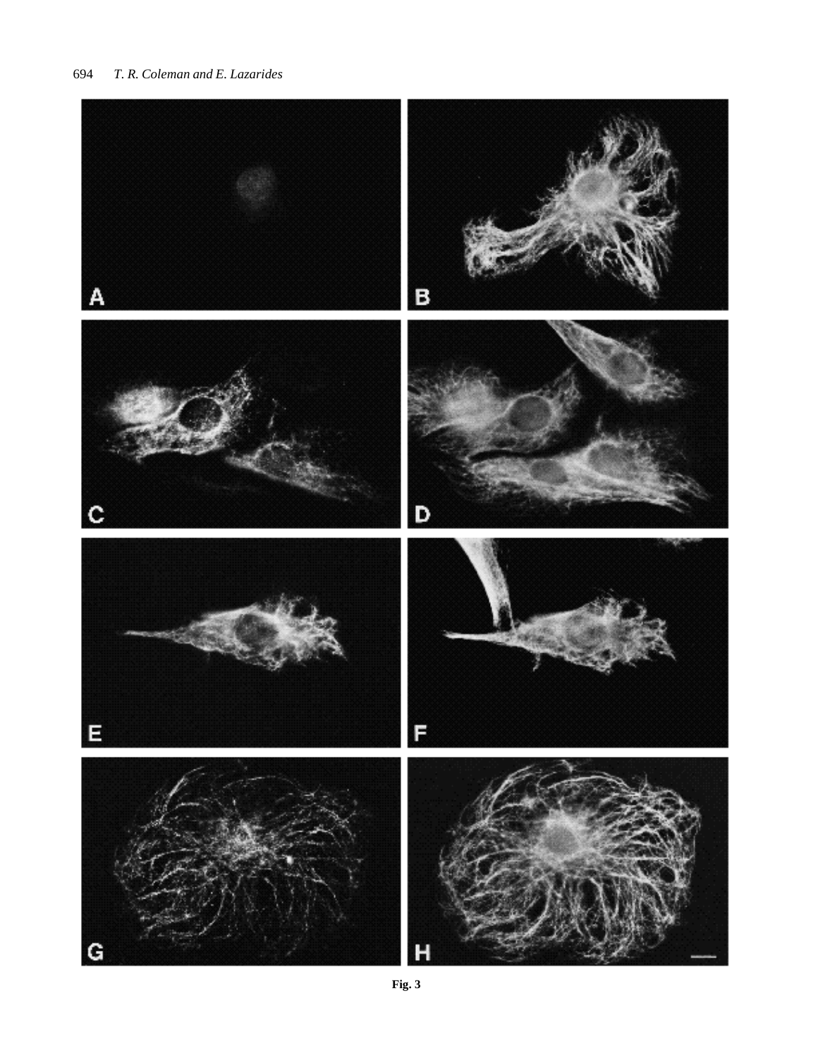# 694 *T. R. Coleman and E. Lazarides*



**Fig. 3**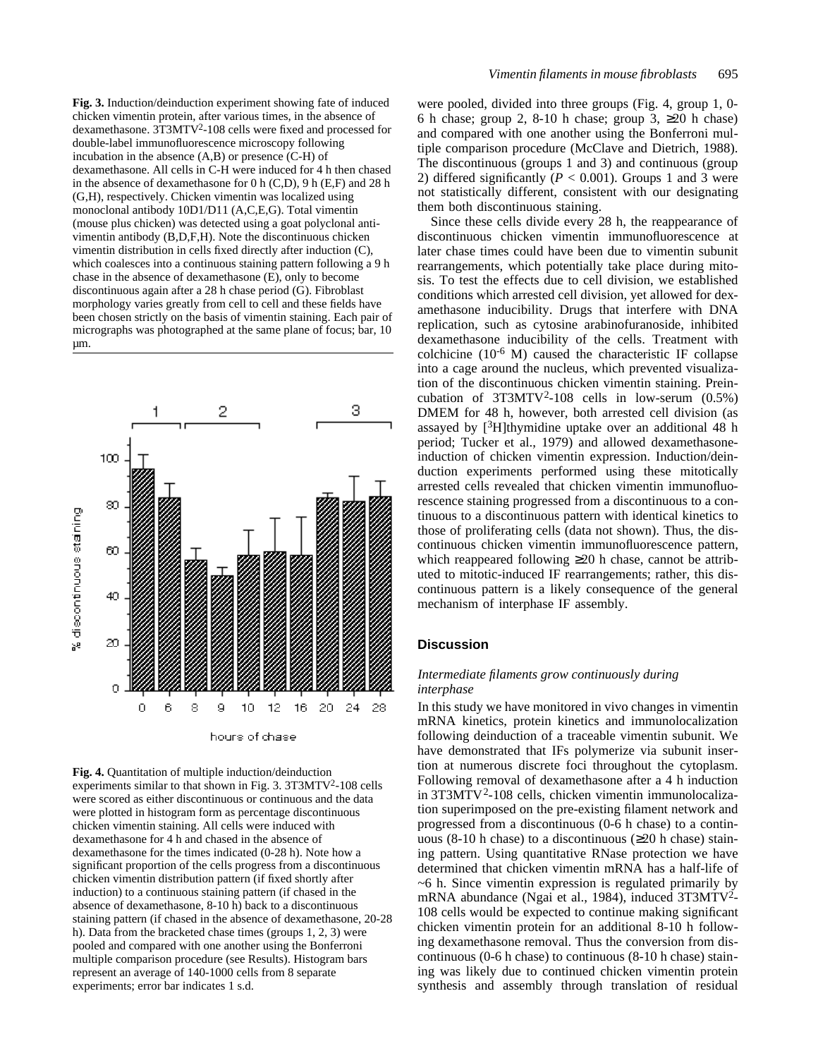**Fig. 3.** Induction/deinduction experiment showing fate of induced chicken vimentin protein, after various times, in the absence of dexamethasone. 3T3MTV<sup>2</sup> -108 cells were fixed and processed for double-label immunofluorescence microscopy following incubation in the absence (A,B) or presence (C-H) of dexamethasone. All cells in C-H were induced for 4 h then chased in the absence of dexamethasone for 0 h (C,D), 9 h (E,F) and 28 h (G,H), respectively. Chicken vimentin was localized using monoclonal antibody 10D1/D11 (A,C,E,G). Total vimentin (mouse plus chicken) was detected using a goat polyclonal antivimentin antibody (B,D,F,H). Note the discontinuous chicken vimentin distribution in cells fixed directly after induction (C), which coalesces into a continuous staining pattern following a 9 h chase in the absence of dexamethasone (E), only to become discontinuous again after a 28 h chase period (G). Fibroblast morphology varies greatly from cell to cell and these fields have been chosen strictly on the basis of vimentin staining. Each pair of micrographs was photographed at the same plane of focus; bar, 10 µm.



**Fig. 4.** Quantitation of multiple induction/deinduction experiments similar to that shown in Fig. 3. 3T3MTV<sup>2</sup>-108 cells were scored as either discontinuous or continuous and the data were plotted in histogram form as percentage discontinuous chicken vimentin staining. All cells were induced with dexamethasone for 4 h and chased in the absence of dexamethasone for the times indicated (0-28 h). Note how a significant proportion of the cells progress from a discontinuous chicken vimentin distribution pattern (if fixed shortly after induction) to a continuous staining pattern (if chased in the absence of dexamethasone, 8-10 h) back to a discontinuous staining pattern (if chased in the absence of dexamethasone, 20-28 h). Data from the bracketed chase times (groups 1, 2, 3) were pooled and compared with one another using the Bonferroni multiple comparison procedure (see Results). Histogram bars represent an average of 140-1000 cells from 8 separate experiments; error bar indicates 1 s.d.

were pooled, divided into three groups (Fig. 4, group 1, 0- 6 h chase; group 2, 8-10 h chase; group 3, 20 h chase) and compared with one another using the Bonferroni multiple comparison procedure (McClave and Dietrich, 1988). The discontinuous (groups 1 and 3) and continuous (group 2) differed significantly ( $P < 0.001$ ). Groups 1 and 3 were not statistically different, consistent with our designating them both discontinuous staining.

Since these cells divide every 28 h, the reappearance of discontinuous chicken vimentin immunofluorescence at later chase times could have been due to vimentin subunit rearrangements, which potentially take place during mitosis. To test the effects due to cell division, we established conditions which arrested cell division, yet allowed for dexamethasone inducibility. Drugs that interfere with DNA replication, such as cytosine arabinofuranoside, inhibited dexamethasone inducibility of the cells. Treatment with colchicine  $(10^{-6}$  M) caused the characteristic IF collapse into a cage around the nucleus, which prevented visualization of the discontinuous chicken vimentin staining. Preincubation of  $3T3MTV^2-108$  cells in low-serum  $(0.5\%)$ DMEM for 48 h, however, both arrested cell division (as assayed by  $[3H]$ thymidine uptake over an additional 48 h period; Tucker et al., 1979) and allowed dexamethasoneinduction of chicken vimentin expression. Induction/deinduction experiments performed using these mitotically arrested cells revealed that chicken vimentin immunofluorescence staining progressed from a discontinuous to a continuous to a discontinuous pattern with identical kinetics to those of proliferating cells (data not shown). Thus, the discontinuous chicken vimentin immunofluorescence pattern, which reappeared following 20 h chase, cannot be attributed to mitotic-induced IF rearrangements; rather, this discontinuous pattern is a likely consequence of the general mechanism of interphase IF assembly.

# **Discussion**

# *Intermediate filaments grow continuously during interphase*

In this study we have monitored in vivo changes in vimentin mRNA kinetics, protein kinetics and immunolocalization following deinduction of a traceable vimentin subunit. We have demonstrated that IFs polymerize via subunit insertion at numerous discrete foci throughout the cytoplasm. Following removal of dexamethasone after a 4 h induction in 3T3MTV<sup>2</sup>-108 cells, chicken vimentin immunolocalization superimposed on the pre-existing filament network and progressed from a discontinuous (0-6 h chase) to a continuous (8-10 h chase) to a discontinuous ( 20 h chase) staining pattern. Using quantitative RNase protection we have determined that chicken vimentin mRNA has a half-life of ~6 h. Since vimentin expression is regulated primarily by mRNA abundance (Ngai et al., 1984), induced 3T3MTV<sup>2</sup>-108 cells would be expected to continue making significant chicken vimentin protein for an additional 8-10 h following dexamethasone removal. Thus the conversion from discontinuous (0-6 h chase) to continuous (8-10 h chase) staining was likely due to continued chicken vimentin protein synthesis and assembly through translation of residual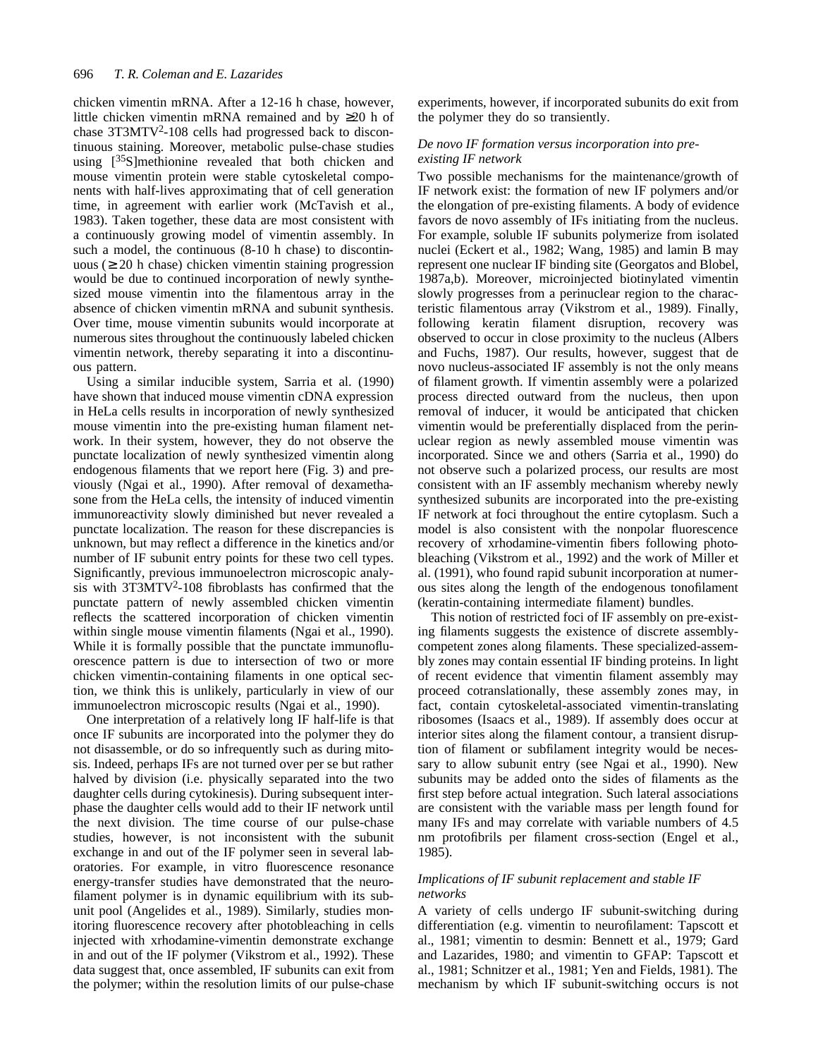chicken vimentin mRNA. After a 12-16 h chase, however, little chicken vimentin mRNA remained and by 20 h of chase 3T3MTV<sup>2</sup>-108 cells had progressed back to discontinuous staining. Moreover, metabolic pulse-chase studies using  $[35S]$ methionine revealed that both chicken and mouse vimentin protein were stable cytoskeletal components with half-lives approximating that of cell generation time, in agreement with earlier work (McTavish et al., 1983). Taken together, these data are most consistent with a continuously growing model of vimentin assembly. In such a model, the continuous (8-10 h chase) to discontinuous ( 20 h chase) chicken vimentin staining progression would be due to continued incorporation of newly synthesized mouse vimentin into the filamentous array in the absence of chicken vimentin mRNA and subunit synthesis. Over time, mouse vimentin subunits would incorporate at numerous sites throughout the continuously labeled chicken vimentin network, thereby separating it into a discontinuous pattern.

Using a similar inducible system, Sarria et al. (1990) have shown that induced mouse vimentin cDNA expression in HeLa cells results in incorporation of newly synthesized mouse vimentin into the pre-existing human filament network. In their system, however, they do not observe the punctate localization of newly synthesized vimentin along endogenous filaments that we report here (Fig. 3) and previously (Ngai et al., 1990). After removal of dexamethasone from the HeLa cells, the intensity of induced vimentin immunoreactivity slowly diminished but never revealed a punctate localization. The reason for these discrepancies is unknown, but may reflect a difference in the kinetics and/or number of IF subunit entry points for these two cell types. Significantly, previous immunoelectron microscopic analysis with 3T3MTV<sup>2</sup> -108 fibroblasts has confirmed that the punctate pattern of newly assembled chicken vimentin reflects the scattered incorporation of chicken vimentin within single mouse vimentin filaments (Ngai et al., 1990). While it is formally possible that the punctate immunofluorescence pattern is due to intersection of two or more chicken vimentin-containing filaments in one optical section, we think this is unlikely, particularly in view of our immunoelectron microscopic results (Ngai et al., 1990).

One interpretation of a relatively long IF half-life is that once IF subunits are incorporated into the polymer they do not disassemble, or do so infrequently such as during mitosis. Indeed, perhaps IFs are not turned over per se but rather halved by division (i.e. physically separated into the two daughter cells during cytokinesis). During subsequent interphase the daughter cells would add to their IF network until the next division. The time course of our pulse-chase studies, however, is not inconsistent with the subunit exchange in and out of the IF polymer seen in several laboratories. For example, in vitro fluorescence resonance energy-transfer studies have demonstrated that the neurofilament polymer is in dynamic equilibrium with its subunit pool (Angelides et al., 1989). Similarly, studies monitoring fluorescence recovery after photobleaching in cells injected with xrhodamine-vimentin demonstrate exchange in and out of the IF polymer (Vikstrom et al., 1992). These data suggest that, once assembled, IF subunits can exit from the polymer; within the resolution limits of our pulse-chase

experiments, however, if incorporated subunits do exit from the polymer they do so transiently.

# *De novo IF formation versus incorporation into preexisting IF network*

Two possible mechanisms for the maintenance/growth of IF network exist: the formation of new IF polymers and/or the elongation of pre-existing filaments. A body of evidence favors de novo assembly of IFs initiating from the nucleus. For example, soluble IF subunits polymerize from isolated nuclei (Eckert et al., 1982; Wang, 1985) and lamin B may represent one nuclear IF binding site (Georgatos and Blobel, 1987a,b). Moreover, microinjected biotinylated vimentin slowly progresses from a perinuclear region to the characteristic filamentous array (Vikstrom et al., 1989). Finally, following keratin filament disruption, recovery was observed to occur in close proximity to the nucleus (Albers and Fuchs, 1987). Our results, however, suggest that de novo nucleus-associated IF assembly is not the only means of filament growth. If vimentin assembly were a polarized process directed outward from the nucleus, then upon removal of inducer, it would be anticipated that chicken vimentin would be preferentially displaced from the perinuclear region as newly assembled mouse vimentin was incorporated. Since we and others (Sarria et al., 1990) do not observe such a polarized process, our results are most consistent with an IF assembly mechanism whereby newly synthesized subunits are incorporated into the pre-existing IF network at foci throughout the entire cytoplasm. Such a model is also consistent with the nonpolar fluorescence recovery of xrhodamine-vimentin fibers following photobleaching (Vikstrom et al., 1992) and the work of Miller et al. (1991), who found rapid subunit incorporation at numerous sites along the length of the endogenous tonofilament (keratin-containing intermediate filament) bundles.

This notion of restricted foci of IF assembly on pre-existing filaments suggests the existence of discrete assemblycompetent zones along filaments. These specialized-assembly zones may contain essential IF binding proteins. In light of recent evidence that vimentin filament assembly may proceed cotranslationally, these assembly zones may, in fact, contain cytoskeletal-associated vimentin-translating ribosomes (Isaacs et al., 1989). If assembly does occur at interior sites along the filament contour, a transient disruption of filament or subfilament integrity would be necessary to allow subunit entry (see Ngai et al., 1990). New subunits may be added onto the sides of filaments as the first step before actual integration. Such lateral associations are consistent with the variable mass per length found for many IFs and may correlate with variable numbers of 4.5 nm protofibrils per filament cross-section (Engel et al., 1985).

## *Implications of IF subunit replacement and stable IF networks*

A variety of cells undergo IF subunit-switching during differentiation (e.g. vimentin to neurofilament: Tapscott et al., 1981; vimentin to desmin: Bennett et al., 1979; Gard and Lazarides, 1980; and vimentin to GFAP: Tapscott et al., 1981; Schnitzer et al., 1981; Yen and Fields, 1981). The mechanism by which IF subunit-switching occurs is not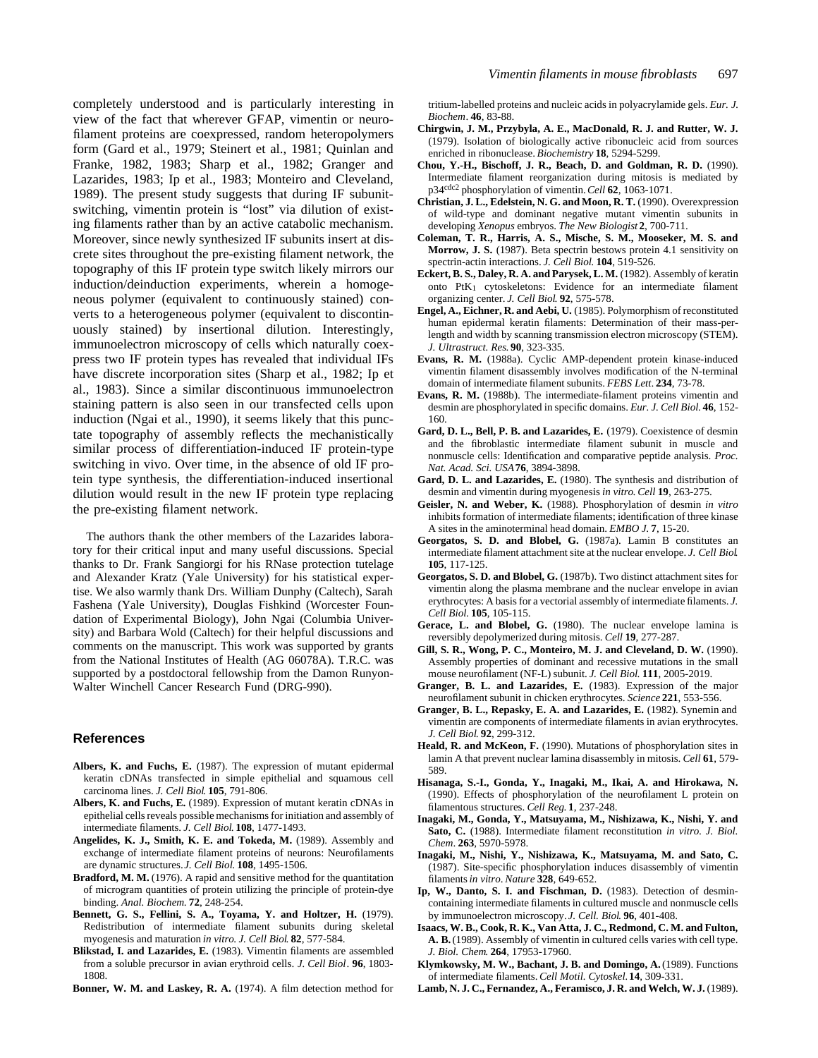completely understood and is particularly interesting in view of the fact that wherever GFAP, vimentin or neurofilament proteins are coexpressed, random heteropolymers form (Gard et al., 1979; Steinert et al., 1981; Quinlan and Franke, 1982, 1983; Sharp et al., 1982; Granger and Lazarides, 1983; Ip et al., 1983; Monteiro and Cleveland, 1989). The present study suggests that during IF subunitswitching, vimentin protein is "lost" via dilution of existing filaments rather than by an active catabolic mechanism. Moreover, since newly synthesized IF subunits insert at discrete sites throughout the pre-existing filament network, the topography of this IF protein type switch likely mirrors our induction/deinduction experiments, wherein a homogeneous polymer (equivalent to continuously stained) converts to a heterogeneous polymer (equivalent to discontinuously stained) by insertional dilution. Interestingly, immunoelectron microscopy of cells which naturally coexpress two IF protein types has revealed that individual IFs have discrete incorporation sites (Sharp et al., 1982; Ip et al., 1983). Since a similar discontinuous immunoelectron staining pattern is also seen in our transfected cells upon induction (Ngai et al., 1990), it seems likely that this punctate topography of assembly reflects the mechanistically similar process of differentiation-induced IF protein-type switching in vivo. Over time, in the absence of old IF protein type synthesis, the differentiation-induced insertional dilution would result in the new IF protein type replacing the pre-existing filament network.

The authors thank the other members of the Lazarides laboratory for their critical input and many useful discussions. Special thanks to Dr. Frank Sangiorgi for his RNase protection tutelage and Alexander Kratz (Yale University) for his statistical expertise. We also warmly thank Drs. William Dunphy (Caltech), Sarah Fashena (Yale University), Douglas Fishkind (Worcester Foundation of Experimental Biology), John Ngai (Columbia University) and Barbara Wold (Caltech) for their helpful discussions and comments on the manuscript. This work was supported by grants from the National Institutes of Health (AG 06078A). T.R.C. was supported by a postdoctoral fellowship from the Damon Runyon-Walter Winchell Cancer Research Fund (DRG-990).

# **References**

- **Albers, K. and Fuchs, E.** (1987). The expression of mutant epidermal keratin cDNAs transfected in simple epithelial and squamous cell carcinoma lines. *J. Cell Biol*. **105**, 791-806.
- **Albers, K. and Fuchs, E.** (1989). Expression of mutant keratin cDNAs in epithelial cells reveals possible mechanisms for initiation and assembly of intermediate filaments. *J. Cell Biol*. **108**, 1477-1493.
- Angelides, K. J., Smith, K. E. and Tokeda, M. (1989). Assembly and exchange of intermediate filament proteins of neurons: Neurofilaments are dynamic structures. *J. Cell Biol*. **108**, 1495-1506.
- **Bradford, M. M.** (1976). A rapid and sensitive method for the quantitation of microgram quantities of protein utilizing the principle of protein-dye binding. *Anal. Biochem*. **72**, 248-254.
- **Bennett, G. S., Fellini, S. A., Toyama, Y. and Holtzer, H.** (1979). Redistribution of intermediate filament subunits during skeletal myogenesis and maturation *in vitro*. *J. Cell Biol*. **82**, 577-584.
- **Blikstad, I. and Lazarides, E.** (1983). Vimentin filaments are assembled from a soluble precursor in avian erythroid cells. *J. Cell Biol*. **96**, 1803- 1808.
- **Bonner, W. M. and Laskey, R. A.** (1974). A film detection method for

tritium-labelled proteins and nucleic acids in polyacrylamide gels. *Eur. J. Biochem*. **46**, 83-88.

- **Chirgwin, J. M., Przybyla, A. E., MacDonald, R. J. and Rutter, W. J.** (1979). Isolation of biologically active ribonucleic acid from sources enriched in ribonuclease. *Biochemistry* **18**, 5294-5299.
- **Chou, Y.-H., Bischoff, J. R., Beach, D. and Goldman, R. D.** (1990). Intermediate filament reorganization during mitosis is mediated by p34cdc2 phosphorylation of vimentin. *Cell* **62**, 1063-1071.
- **Christian, J. L., Edelstein, N. G. and Moon, R. T.** (1990). Overexpression of wild-type and dominant negative mutant vimentin subunits in developing *Xenopus* embryos. *The New Biologist* **2**, 700-711.
- **Coleman, T. R., Harris, A. S., Mische, S. M., Mooseker, M. S. and Morrow, J. S.** (1987). Beta spectrin bestows protein 4.1 sensitivity on spectrin-actin interactions. *J. Cell Biol*. **104**, 519-526.
- **Eckert, B. S., Daley, R. A. and Parysek, L. M.** (1982). Assembly of keratin onto PtK1 cytoskeletons: Evidence for an intermediate filament organizing center. *J. Cell Biol*. **92**, 575-578.
- **Engel, A., Eichner, R. and Aebi, U.** (1985). Polymorphism of reconstituted human epidermal keratin filaments: Determination of their mass-perlength and width by scanning transmission electron microscopy (STEM). *J. Ultrastruct. Res*. **90**, 323-335.
- **Evans, R. M.** (1988a). Cyclic AMP-dependent protein kinase-induced vimentin filament disassembly involves modification of the N-terminal domain of intermediate filament subunits. *FEBS Lett*. **234**, 73-78.
- **Evans, R. M.** (1988b). The intermediate-filament proteins vimentin and desmin are phosphorylated in specific domains. *Eur. J. Cell Biol*. **46**, 152- 160.
- **Gard, D. L., Bell, P. B. and Lazarides, E.** (1979). Coexistence of desmin and the fibroblastic intermediate filament subunit in muscle and nonmuscle cells: Identification and comparative peptide analysis. *Proc. Nat. Acad. Sci. USA***76**, 3894-3898.
- **Gard, D. L. and Lazarides, E.** (1980). The synthesis and distribution of desmin and vimentin during myogenesis *in vitro*. *Cell* **19**, 263-275.
- **Geisler, N. and Weber, K.** (1988). Phosphorylation of desmin *in vitro* inhibits formation of intermediate filaments; identification of three kinase A sites in the aminoterminal head domain. *EMBO J*. **7**, 15-20.
- **Georgatos, S. D. and Blobel, G.** (1987a). Lamin B constitutes an intermediate filament attachment site at the nuclear envelope. *J. Cell Biol*. **105**, 117-125.
- **Georgatos, S. D. and Blobel, G.** (1987b). Two distinct attachment sites for vimentin along the plasma membrane and the nuclear envelope in avian erythrocytes: A basis for a vectorial assembly of intermediate filaments. *J. Cell Biol*. **105**, 105-115.
- **Gerace, L. and Blobel, G.** (1980). The nuclear envelope lamina is reversibly depolymerized during mitosis. *Cell* **19**, 277-287.
- **Gill, S. R., Wong, P. C., Monteiro, M. J. and Cleveland, D. W.** (1990). Assembly properties of dominant and recessive mutations in the small mouse neurofilament (NF-L) subunit. *J. Cell Biol*. **111**, 2005-2019.
- **Granger, B. L. and Lazarides, E.** (1983). Expression of the major neurofilament subunit in chicken erythrocytes. *Science* **221**, 553-556.
- **Granger, B. L., Repasky, E. A. and Lazarides, E.** (1982). Synemin and vimentin are components of intermediate filaments in avian erythrocytes. *J. Cell Biol*. **92**, 299-312.
- Heald, R. and McKeon, F. (1990). Mutations of phosphorylation sites in lamin A that prevent nuclear lamina disassembly in mitosis. *Cell* **61**, 579- 589.
- **Hisanaga, S.-I., Gonda, Y., Inagaki, M., Ikai, A. and Hirokawa, N.** (1990). Effects of phosphorylation of the neurofilament L protein on filamentous structures. *Cell Reg*. **1**, 237-248.
- **Inagaki, M., Gonda, Y., Matsuyama, M., Nishizawa, K., Nishi, Y. and Sato, C.** (1988). Intermediate filament reconstitution *in vitro*. *J. Biol. Chem*. **263**, 5970-5978.
- **Inagaki, M., Nishi, Y., Nishizawa, K., Matsuyama, M. and Sato, C.** (1987). Site-specific phosphorylation induces disassembly of vimentin filaments *in vitro*. *Nature* **328**, 649-652.
- **Ip, W., Danto, S. I. and Fischman, D.** (1983). Detection of desmincontaining intermediate filaments in cultured muscle and nonmuscle cells by immunoelectron microscopy. *J. Cell. Biol*. **96**, 401-408.
- **Isaacs, W. B., Cook, R. K., Van Atta, J. C., Redmond, C. M. and Fulton, A. B.** (1989). Assembly of vimentin in cultured cells varies with cell type. *J. Biol. Chem*. **264**, 17953-17960.
- Klymkowsky, M. W., Bachant, J. B. and Domingo, A. (1989). Functions of intermediate filaments. *Cell Motil. Cytoskel.***14**, 309-331.
- Lamb, N. J. C., Fernandez, A., Feramisco, J. R. and Welch, W. J. (1989).